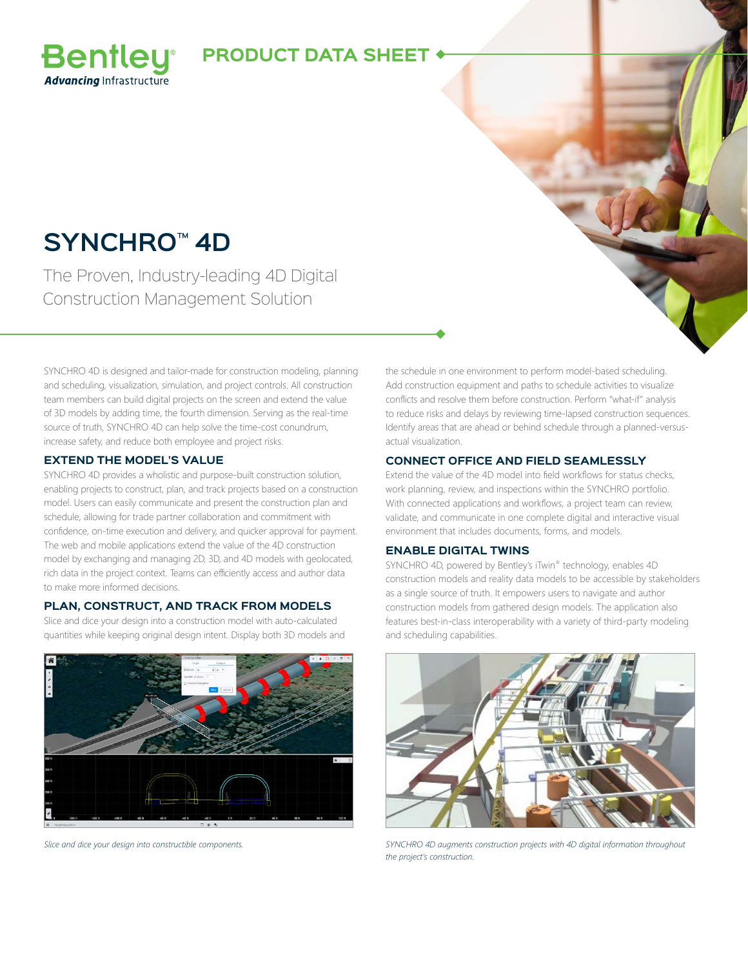### **PRODUCT DATA SHEET**

# **SYNCHRO™ 4D**

**Bentley Advancing Infrastructure** 

The Proven, Industry-leading 4D Digital Construction Management Solution

SYNCHRO 4D is designed and tailor-made for construction modeling, planning and scheduling, visualization, simulation, and project controls. All construction team members can build digital projects on the screen and extend the value of 3D models by adding time, the fourth dimension. Serving as the real-time source of truth, SYNCHRO 4D can help solve the time-cost conundrum, increase safety, and reduce both employee and project risks.

### **EXTEND THE MODEL'S VALUE**

SYNCHRO 4D provides a wholistic and purpose-built construction solution, enabling projects to construct, plan, and track projects based on a construction model. Users can easily communicate and present the construction plan and schedule, allowing for trade partner collaboration and commitment with confidence, on-time execution and delivery, and quicker approval for payment. The web and mobile applications extend the value of the 4D construction model by exchanging and managing 2D, 3D, and 4D models with geolocated, rich data in the project context. Teams can efficiently access and author data to make more informed decisions.

### **PLAN, CONSTRUCT, AND TRACK FROM MODELS**

Slice and dice your design into a construction model with auto-calculated quantities while keeping original design intent. Display both 3D models and



the schedule in one environment to perform model-based scheduling. Add construction equipment and paths to schedule activities to visualize conflicts and resolve them before construction. Perform "what-if" analysis to reduce risks and delays by reviewing time-lapsed construction sequences. Identify areas that are ahead or behind schedule through a planned-versusactual visualization.

### **CONNECT OFFICE AND FIELD SEAMLESSLY**

Extend the value of the 4D model into field workflows for status checks, work planning, review, and inspections within the SYNCHRO portfolio. With connected applications and workflows, a project team can review, validate, and communicate in one complete digital and interactive visual environment that includes documents, forms, and models.

### **ENABLE DIGITAL TWINS**

SYNCHRO 4D, powered by Bentley's iTwin® technology, enables 4D construction models and reality data models to be accessible by stakeholders as a single source of truth. It empowers users to navigate and author construction models from gathered design models. The application also features best-in-class interoperability with a variety of third-party modeling and scheduling capabilities.



*Slice and dice your design into constructible components. SYNCHRO 4D augments construction projects with 4D digital information throughout the project's construction.*